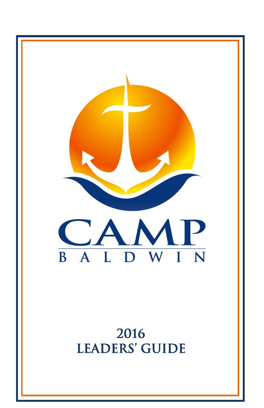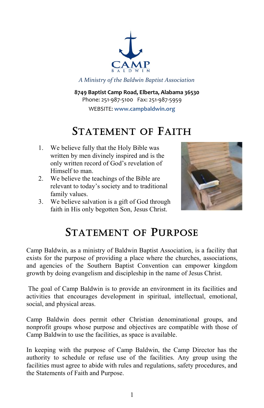

*A Ministry of the Baldwin Baptist Association*

**8749 Baptist Camp Road, Elberta, Alabama 36530** Phone: 251-987-5100 Fax: 251-987-5959 WEBSITE: **www.campbaldwin.org**

# STATEMENT OF FAITH

- 1. We believe fully that the Holy Bible was written by men divinely inspired and is the only written record of God's revelation of Himself to man.
- 2. We believe the teachings of the Bible are relevant to today's society and to traditional family values.
- 3. We believe salvation is a gift of God through faith in His only begotten Son, Jesus Christ.



# STATEMENT OF PURPOSE

Camp Baldwin, as a ministry of Baldwin Baptist Association, is a facility that exists for the purpose of providing a place where the churches, associations, and agencies of the Southern Baptist Convention can empower kingdom growth by doing evangelism and discipleship in the name of Jesus Christ.

The goal of Camp Baldwin is to provide an environment in its facilities and activities that encourages development in spiritual, intellectual, emotional, social, and physical areas.

Camp Baldwin does permit other Christian denominational groups, and nonprofit groups whose purpose and objectives are compatible with those of Camp Baldwin to use the facilities, as space is available.

In keeping with the purpose of Camp Baldwin, the Camp Director has the authority to schedule or refuse use of the facilities. Any group using the facilities must agree to abide with rules and regulations, safety procedures, and the Statements of Faith and Purpose.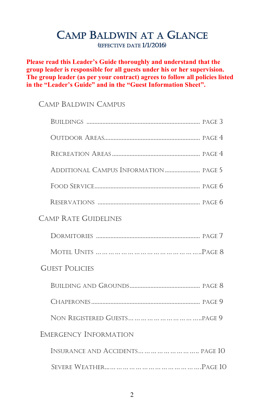# CAMP BALDWIN AT A GLANCE (EFFECTIVE DATE 1/1/2016)

**Please read this Leader's Guide thoroughly and understand that the group leader is responsible for all guests under his or her supervision. The group leader (as per your contract) agrees to follow all policies listed in the "Leader's Guide" and in the "Guest Information Sheet".**

### CAMP BALDWIN CAMPUS

| <b>CAMP RATE GUIDELINES</b>             |
|-----------------------------------------|
|                                         |
|                                         |
| <b>GUEST POLICIES</b>                   |
|                                         |
|                                         |
|                                         |
| <b>EMERGENCY INFORMATION</b>            |
| INSURANCE AND ACCIDENTS         PAGE 10 |
|                                         |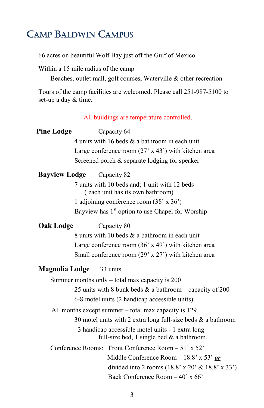# CAMP BALDWIN CAMPUS

66 acres on beautiful Wolf Bay just off the Gulf of Mexico

Within a 15 mile radius of the camp –

Beaches, outlet mall, golf courses, Waterville & other recreation

Tours of the camp facilities are welcomed. Please call 251-987-5100 to set-up a day & time.

All buildings are temperature controlled.

| <b>Pine Lodge</b>                                          | Capacity 64                                                                                     |  |  |
|------------------------------------------------------------|-------------------------------------------------------------------------------------------------|--|--|
|                                                            | 4 units with 16 beds $\&$ a bathroom in each unit                                               |  |  |
|                                                            | Large conference room $(27 \times 43')$ with kitchen area                                       |  |  |
|                                                            | Screened porch & separate lodging for speaker                                                   |  |  |
| <b>Bayview Lodge</b>                                       | Capacity 82                                                                                     |  |  |
|                                                            | 7 units with 10 beds and; 1 unit with 12 beds<br>(each unit has its own bathroom)               |  |  |
|                                                            | 1 adjoining conference room (38' x 36')                                                         |  |  |
|                                                            | Bayview has 1 <sup>st</sup> option to use Chapel for Worship                                    |  |  |
| Oak Lodge                                                  | Capacity 80                                                                                     |  |  |
|                                                            | 8 units with 10 beds & a bathroom in each unit                                                  |  |  |
| Large conference room $(36 \times 49)$ with kitchen area   |                                                                                                 |  |  |
| Small conference room $(29' \times 27')$ with kitchen area |                                                                                                 |  |  |
| <b>Magnolia Lodge</b>                                      | 33 units                                                                                        |  |  |
|                                                            | Summer months only - total max capacity is 200                                                  |  |  |
|                                                            | 25 units with 8 bunk beds $\&$ a bathroom – capacity of 200                                     |  |  |
|                                                            | 6-8 motel units (2 handicap accessible units)                                                   |  |  |
|                                                            | All months except summer – total max capacity is 129                                            |  |  |
|                                                            | 30 motel units with 2 extra long full-size beds $\&$ a bathroom                                 |  |  |
|                                                            | 3 handicap accessible motel units - 1 extra long<br>full-size bed, 1 single bed $&$ a bathroom. |  |  |
|                                                            | Conference Rooms: Front Conference Room $-51'$ x 52'                                            |  |  |
|                                                            | Middle Conference Room - 18.8' x 53' $or$                                                       |  |  |
|                                                            | divided into 2 rooms $(18.8' \times 20' \& 18.8' \times 33')$                                   |  |  |
|                                                            | Back Conference Room - 40' x 66'                                                                |  |  |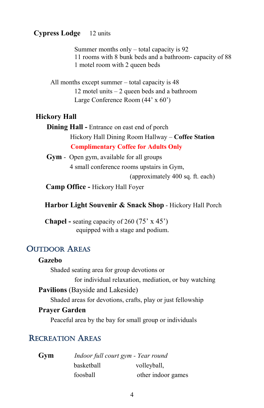#### **Cypress Lodge** 12 units

Summer months only – total capacity is 92 11 rooms with 8 bunk beds and a bathroom- capacity of 88 1 motel room with 2 queen beds

All months except summer – total capacity is 48 12 motel units – 2 queen beds and a bathroom Large Conference Room (44' x 60')

#### **Hickory Hall**

 **Dining Hall -** Entrance on east end of porch Hickory Hall Dining Room Hallway – **Coffee Station Complimentary Coffee for Adults Only**

 **Gym** - Open gym, available for all groups 4 small conference rooms upstairs in Gym, (approximately 400 sq. ft. each)

**Camp Office -** Hickory Hall Foyer

### **Harbor Light Souvenir & Snack Shop** - Hickory Hall Porch

 **Chapel -** seating capacity of 260 (75' x 45') equipped with a stage and podium.

### OUTDOOR AREAS

#### **Gazebo**

Shaded seating area for group devotions or for individual relaxation, mediation, or bay watching **Pavilions** (Bayside and Lakeside) Shaded areas for devotions, crafts, play or just fellowship **Prayer Garden**

Peaceful area by the bay for small group or individuals

### RECREATION AREAS

| Gym | Indoor full court gym - Year round |                    |  |
|-----|------------------------------------|--------------------|--|
|     | basketball                         | volleyball,        |  |
|     | foosball                           | other indoor games |  |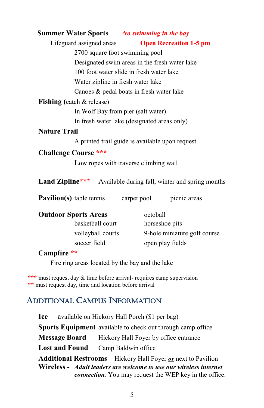### **Summer Water Sports** *No swimming in the bay*

Lifeguard assigned areas **Open Recreation 1-5 pm**

2700 square foot swimming pool Designated swim areas in the fresh water lake 100 foot water slide in fresh water lake Water zipline in fresh water lake Canoes & pedal boats in fresh water lake

### **Fishing (**catch & release)

In Wolf Bay from pier (salt water)

In fresh water lake (designated areas only)

### **Nature Trail**

A printed trail guide is available upon request.

### **Challenge Course \*\*\***

Low ropes with traverse climbing wall

Land Zipline\*\*\* Available during fall, winter and spring months

**Pavilion(s)** table tennis carpet pool picnic areas

| <b>Outdoor Sports Areas</b> | octoball                     |
|-----------------------------|------------------------------|
| basketball court            | horseshoe pits               |
| volleyball courts           | 9-hole miniature golf course |
| soccer field                | open play fields             |

### **Campfire \*\***

Fire ring areas located by the bay and the lake

**\*\*\*** must request day & time before arrival- requires camp supervision **\*\*** must request day, time and location before arrival

### ADDITIONAL CAMPUS INFORMATION

**Ice** availabl**e** on Hickory Hall Porch (\$1 per bag) **Sports Equipment** available to check out through camp office **Message Board** Hickory Hall Foyer by office entrance **Lost and Found** Camp Baldwin office **Additional Restrooms** Hickory Hall Foyer *or* next to Pavilion **Wireless -** *Adult leaders are welcome to use our wireless internet connection.* You may request the WEP key in the office.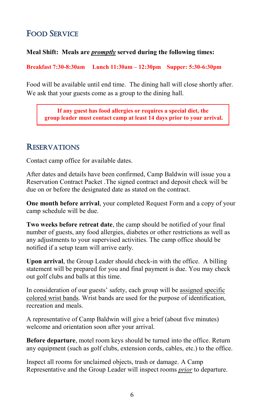## FOOD SERVICE

#### **Meal Shift: Meals are** *promptly* **served during the following times:**

**Breakfast 7:30-8:30am Lunch 11:30am – 12:30pm Supper: 5:30-6:30pm**

Food will be available until end time. The dining hall will close shortly after. We ask that your guests come as a group to the dining hall.

**If any guest has food allergies or requires a special diet, the group leader must contact camp at least 14 days prior to your arrival.**

### **RESERVATIONS**

Contact camp office for available dates.

After dates and details have been confirmed, Camp Baldwin will issue you a Reservation Contract Packet .The signed contract and deposit check will be due on or before the designated date as stated on the contract.

**One month before arrival**, your completed Request Form and a copy of your camp schedule will be due.

**Two weeks before retreat date**, the camp should be notified of your final number of guests, any food allergies, diabetes or other restrictions as well as any adjustments to your supervised activities. The camp office should be notified if a setup team will arrive early.

**Upon arrival**, the Group Leader should check-in with the office. A billing statement will be prepared for you and final payment is due. You may check out golf clubs and balls at this time.

In consideration of our guests' safety, each group will be assigned specific colored wrist bands. Wrist bands are used for the purpose of identification, recreation and meals.

A representative of Camp Baldwin will give a brief (about five minutes) welcome and orientation soon after your arrival.

**Before departure**, motel room keys should be turned into the office. Return any equipment (such as golf clubs, extension cords, cables, etc.) to the office.

Inspect all rooms for unclaimed objects, trash or damage. A Camp Representative and the Group Leader will inspect rooms *prior* to departure.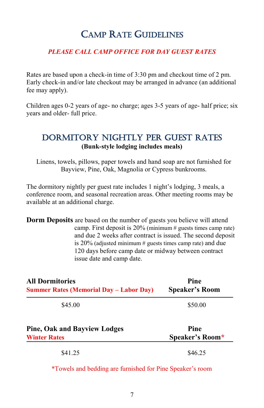# CAMP RATE GUIDELINES

#### *PLEASE CALL CAMP OFFICE FOR DAY GUEST RATES*

Rates are based upon a check-in time of 3:30 pm and checkout time of 2 pm. Early check-in and/or late checkout may be arranged in advance (an additional fee may apply).

Children ages 0-2 years of age- no charge; ages 3-5 years of age- half price; six years and older- full price.

### Dormitory Nightly Per Guest Rates **(Bunk-style lodging includes meals)**

Linens, towels, pillows, paper towels and hand soap are not furnished for Bayview, Pine, Oak, Magnolia or Cypress bunkrooms.

The dormitory nightly per guest rate includes 1 night's lodging, 3 meals, a conference room, and seasonal recreation areas. Other meeting rooms may be available at an additional charge.

**Dorm Deposits** are based on the number of guests you believe will attend camp. First deposit is 20% (minimum # guests times camp rate) and due 2 weeks after contract is issued. The second deposit is 20% (adjusted minimum # guests times camp rate) and due 120 days before camp date or midway between contract issue date and camp date.

| <b>All Dormitories</b>                         | Pine                  |
|------------------------------------------------|-----------------------|
| <b>Summer Rates (Memorial Day - Labor Day)</b> | <b>Speaker's Room</b> |
| \$45.00                                        | \$50.00               |
| <b>Pine, Oak and Bayview Lodges</b>            | Pine                  |
| <b>Winter Rates</b>                            | Speaker's Room*       |
| \$41.25                                        | \$46.25               |

\*Towels and bedding are furnished for Pine Speaker's room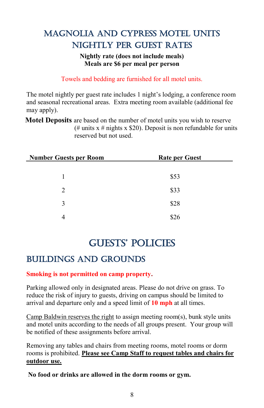# Magnolia and Cypress Motel Units Nightly Per Guest Rates

#### **Nightly rate (does not include meals) Meals are \$6 per meal per person**

Towels and bedding are furnished for all motel units.

The motel nightly per guest rate includes 1 night's lodging, a conference room and seasonal recreational areas. Extra meeting room available (additional fee may apply).

**Motel Deposits** are based on the number of motel units you wish to reserve (# units  $x \neq$  nights  $x \leq 20$ ). Deposit is non refundable for units reserved but not used.

| <b>Number Guests per Room</b> | <b>Rate per Guest</b> |  |
|-------------------------------|-----------------------|--|
|                               |                       |  |
|                               | \$53                  |  |
| 2                             | \$33                  |  |
| 3                             | \$28                  |  |
| 4                             | \$26                  |  |

# GUESTS' POLICIES

# Buildings and Grounds

### **Smoking is not permitted on camp property.**

Parking allowed only in designated areas. Please do not drive on grass. To reduce the risk of injury to guests, driving on campus should be limited to arrival and departure only and a speed limit of **10 mph** at all times.

Camp Baldwin reserves the right to assign meeting room(s), bunk style units and motel units according to the needs of all groups present. Your group will be notified of these assignments before arrival.

Removing any tables and chairs from meeting rooms, motel rooms or dorm rooms is prohibited. **Please see Camp Staff to request tables and chairs for outdoor use.** 

**No food or drinks are allowed in the dorm rooms or gym.**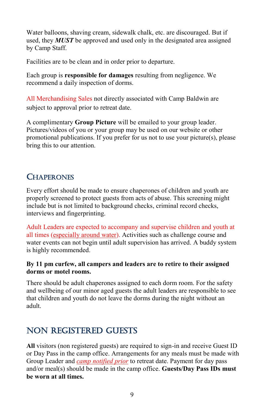Water balloons, shaving cream, sidewalk chalk, etc. are discouraged. But if used, they *MUST* be approved and used only in the designated area assigned by Camp Staff.

Facilities are to be clean and in order prior to departure.

Each group is **responsible for damages** resulting from negligence. We recommend a daily inspection of dorms.

All Merchandising Sales not directly associated with Camp Baldwin are subject to approval prior to retreat date.

A complimentary **Group Picture** will be emailed to your group leader. Pictures/videos of you or your group may be used on our website or other promotional publications. If you prefer for us not to use your picture(s), please bring this to our attention.

# **CHAPERONES**

Every effort should be made to ensure chaperones of children and youth are properly screened to protect guests from acts of abuse. This screening might include but is not limited to background checks, criminal record checks, interviews and fingerprinting.

Adult Leaders are expected to accompany and supervise children and youth at all times (especially around water). Activities such as challenge course and water events can not begin until adult supervision has arrived. A buddy system is highly recommended.

### **By 11 pm curfew, all campers and leaders are to retire to their assigned dorms or motel rooms.**

There should be adult chaperones assigned to each dorm room. For the safety and wellbeing of our minor aged guests the adult leaders are responsible to see that children and youth do not leave the dorms during the night without an adult.

# Non Registered Guests

**All** visitors (non registered guests) are required to sign-in and receive Guest ID or Day Pass in the camp office. Arrangements for any meals must be made with Group Leader and *camp notified prior* to retreat date. Payment for day pass and/or meal(s) should be made in the camp office. **Guests/Day Pass IDs must be worn at all times.**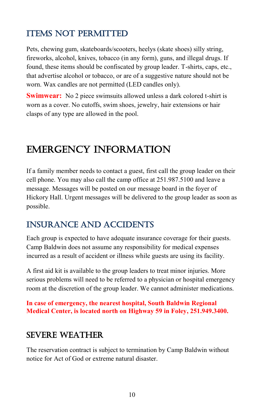# **ITEMS NOT PERMITTED**

Pets, chewing gum, skateboards/scooters, heelys (skate shoes) silly string, fireworks, alcohol, knives, tobacco (in any form), guns, and illegal drugs. If found, these items should be confiscated by group leader. T-shirts, caps, etc., that advertise alcohol or tobacco, or are of a suggestive nature should not be worn. Wax candles are not permitted (LED candles only).

**Swimwear:** No 2 piece swimsuits allowed unless a dark colored t-shirt is worn as a cover. No cutoffs, swim shoes, jewelry, hair extensions or hair clasps of any type are allowed in the pool.

# EMERGENCY INFORMATION

If a family member needs to contact a guest, first call the group leader on their cell phone. You may also call the camp office at 251.987.5100 and leave a message. Messages will be posted on our message board in the foyer of Hickory Hall. Urgent messages will be delivered to the group leader as soon as possible.

## INSURANCE AND ACCIDENTS

Each group is expected to have adequate insurance coverage for their guests. Camp Baldwin does not assume any responsibility for medical expenses incurred as a result of accident or illness while guests are using its facility.

A first aid kit is available to the group leaders to treat minor injuries. More serious problems will need to be referred to a physician or hospital emergency room at the discretion of the group leader. We cannot administer medications.

**In case of emergency, the nearest hospital, South Baldwin Regional Medical Center, is located north on Highway 59 in Foley, 251.949.3400.**

## Severe Weather

The reservation contract is subject to termination by Camp Baldwin without notice for Act of God or extreme natural disaster.